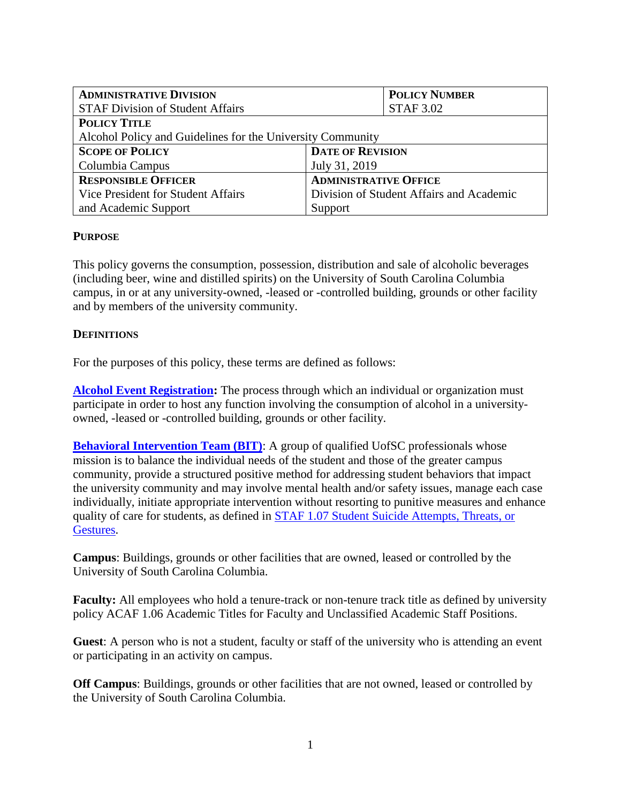| <b>ADMINISTRATIVE DIVISION</b>                             | <b>POLICY NUMBER</b>                     |  |
|------------------------------------------------------------|------------------------------------------|--|
| <b>STAF Division of Student Affairs</b>                    | <b>STAF 3.02</b>                         |  |
| <b>POLICY TITLE</b>                                        |                                          |  |
| Alcohol Policy and Guidelines for the University Community |                                          |  |
| <b>SCOPE OF POLICY</b>                                     | <b>DATE OF REVISION</b>                  |  |
| Columbia Campus                                            | July 31, 2019                            |  |
| <b>RESPONSIBLE OFFICER</b>                                 | <b>ADMINISTRATIVE OFFICE</b>             |  |
| Vice President for Student Affairs                         | Division of Student Affairs and Academic |  |
| and Academic Support                                       | Support                                  |  |

# **PURPOSE**

This policy governs the consumption, possession, distribution and sale of alcoholic beverages (including beer, wine and distilled spirits) on the University of South Carolina Columbia campus, in or at any university-owned, -leased or -controlled building, grounds or other facility and by members of the university community.

## **DEFINITIONS**

For the purposes of this policy, these terms are defined as follows:

**[Alcohol Event Registration:](https://sc.edu/about/offices_and_divisions/substance_abuse_prevention_and_education/alcohol-campus-events/index.php)** The process through which an individual or organization must participate in order to host any function involving the consumption of alcohol in a universityowned, -leased or -controlled building, grounds or other facility.

**[Behavioral Intervention Team \(BIT\)](https://sc.edu/about/offices_and_divisions/student_affairs/our_initiatives/health_wellness_and_safety/behavior_intervention_team_referral/index.php):** A group of qualified UofSC professionals whose mission is to balance the individual needs of the student and those of the greater campus community, provide a structured positive method for addressing student behaviors that impact the university community and may involve mental health and/or safety issues, manage each case individually, initiate appropriate intervention without resorting to punitive measures and enhance quality of care for students, as defined in [STAF 1.07 Student Suicide Attempts, Threats, or](http://www.sc.edu/policies/ppm/staf107.pdf)  [Gestures.](http://www.sc.edu/policies/ppm/staf107.pdf)

**Campus**: Buildings, grounds or other facilities that are owned, leased or controlled by the University of South Carolina Columbia.

**Faculty:** All employees who hold a tenure-track or non-tenure track title as defined by university policy ACAF 1.06 Academic Titles for Faculty and Unclassified Academic Staff Positions.

**Guest**: A person who is not a student, faculty or staff of the university who is attending an event or participating in an activity on campus.

**Off Campus**: Buildings, grounds or other facilities that are not owned, leased or controlled by the University of South Carolina Columbia.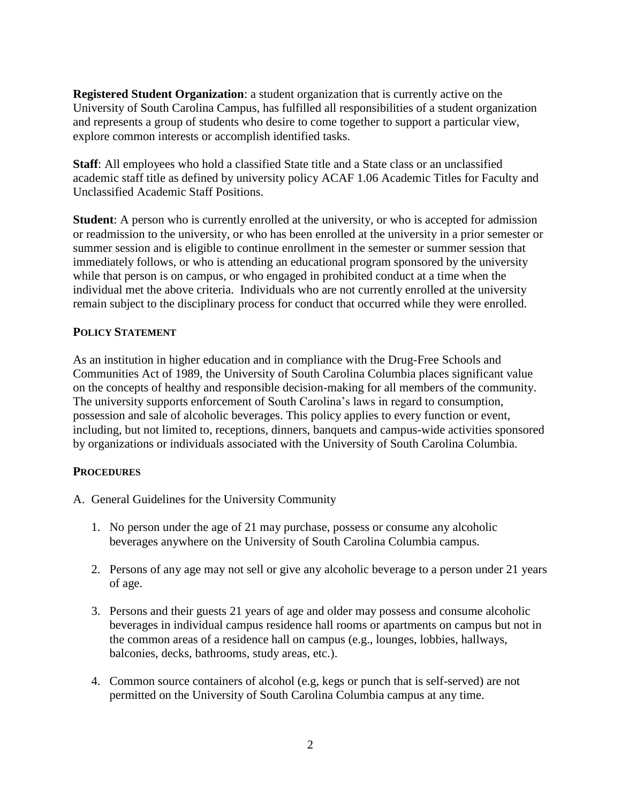**Registered Student Organization**: a student organization that is currently active on the University of South Carolina Campus, has fulfilled all responsibilities of a student organization and represents a group of students who desire to come together to support a particular view, explore common interests or accomplish identified tasks.

**Staff**: All employees who hold a classified State title and a State class or an unclassified academic staff title as defined by university policy ACAF 1.06 Academic Titles for Faculty and Unclassified Academic Staff Positions.

**Student**: A person who is currently enrolled at the university, or who is accepted for admission or readmission to the university, or who has been enrolled at the university in a prior semester or summer session and is eligible to continue enrollment in the semester or summer session that immediately follows, or who is attending an educational program sponsored by the university while that person is on campus, or who engaged in prohibited conduct at a time when the individual met the above criteria. Individuals who are not currently enrolled at the university remain subject to the disciplinary process for conduct that occurred while they were enrolled.

# **POLICY STATEMENT**

As an institution in higher education and in compliance with the Drug-Free Schools and Communities Act of 1989, the University of South Carolina Columbia places significant value on the concepts of healthy and responsible decision-making for all members of the community. The university supports enforcement of South Carolina's laws in regard to consumption, possession and sale of alcoholic beverages. This policy applies to every function or event, including, but not limited to, receptions, dinners, banquets and campus-wide activities sponsored by organizations or individuals associated with the University of South Carolina Columbia.

# **PROCEDURES**

- A. General Guidelines for the University Community
	- 1. No person under the age of 21 may purchase, possess or consume any alcoholic beverages anywhere on the University of South Carolina Columbia campus.
	- 2. Persons of any age may not sell or give any alcoholic beverage to a person under 21 years of age.
	- 3. Persons and their guests 21 years of age and older may possess and consume alcoholic beverages in individual campus residence hall rooms or apartments on campus but not in the common areas of a residence hall on campus (e.g., lounges, lobbies, hallways, balconies, decks, bathrooms, study areas, etc.).
	- 4. Common source containers of alcohol (e.g, kegs or punch that is self-served) are not permitted on the University of South Carolina Columbia campus at any time.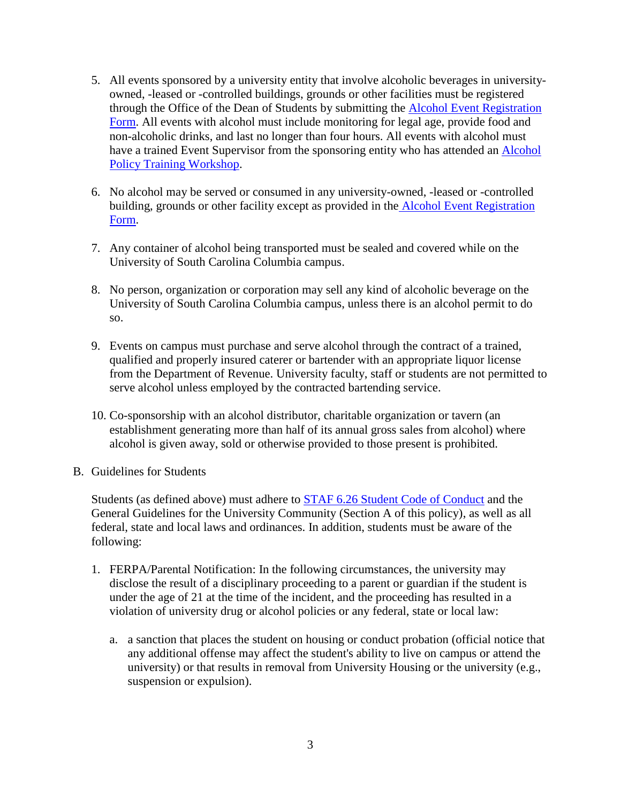- 5. All events sponsored by a university entity that involve alcoholic beverages in universityowned, -leased or -controlled buildings, grounds or other facilities must be registered through the Office of the Dean of Students by submitting the [Alcohol Event Registration](https://sc.edu/about/offices_and_divisions/substance_abuse_prevention_and_education/alcohol-campus-events/index.php)  [Form.](https://sc.edu/about/offices_and_divisions/substance_abuse_prevention_and_education/alcohol-campus-events/index.php) All events with alcohol must include monitoring for legal age, provide food and non-alcoholic drinks, and last no longer than four hours. All events with alcohol must have a trained Event Supervisor from the sponsoring entity who has attended an **Alcohol** [Policy Training Workshop.](https://sc.edu/about/offices_and_divisions/substance_abuse_prevention_and_education/alcohol-campus-events/index.php)
- 6. No alcohol may be served or consumed in any university-owned, -leased or -controlled building, grounds or other facility except as provided in the [Alcohol Event Registration](https://sc.edu/about/offices_and_divisions/substance_abuse_prevention_and_education/alcohol-campus-events/index.php)  [Form.](https://sc.edu/about/offices_and_divisions/substance_abuse_prevention_and_education/alcohol-campus-events/index.php)
- 7. Any container of alcohol being transported must be sealed and covered while on the University of South Carolina Columbia campus.
- 8. No person, organization or corporation may sell any kind of alcoholic beverage on the University of South Carolina Columbia campus, unless there is an alcohol permit to do so.
- 9. Events on campus must purchase and serve alcohol through the contract of a trained, qualified and properly insured caterer or bartender with an appropriate liquor license from the Department of Revenue. University faculty, staff or students are not permitted to serve alcohol unless employed by the contracted bartending service.
- 10. Co-sponsorship with an alcohol distributor, charitable organization or tavern (an establishment generating more than half of its annual gross sales from alcohol) where alcohol is given away, sold or otherwise provided to those present is prohibited.
- B. Guidelines for Students

Students (as defined above) must adhere to **STAF 6.26 Student Code of Conduct** and the General Guidelines for the University Community (Section A of this policy), as well as all federal, state and local laws and ordinances. In addition, students must be aware of the following:

- 1. FERPA/Parental Notification: In the following circumstances, the university may disclose the result of a disciplinary proceeding to a parent or guardian if the student is under the age of 21 at the time of the incident, and the proceeding has resulted in a violation of university drug or alcohol policies or any federal, state or local law:
	- a. a sanction that places the student on housing or conduct probation (official notice that any additional offense may affect the student's ability to live on campus or attend the university) or that results in removal from University Housing or the university (e.g., suspension or expulsion).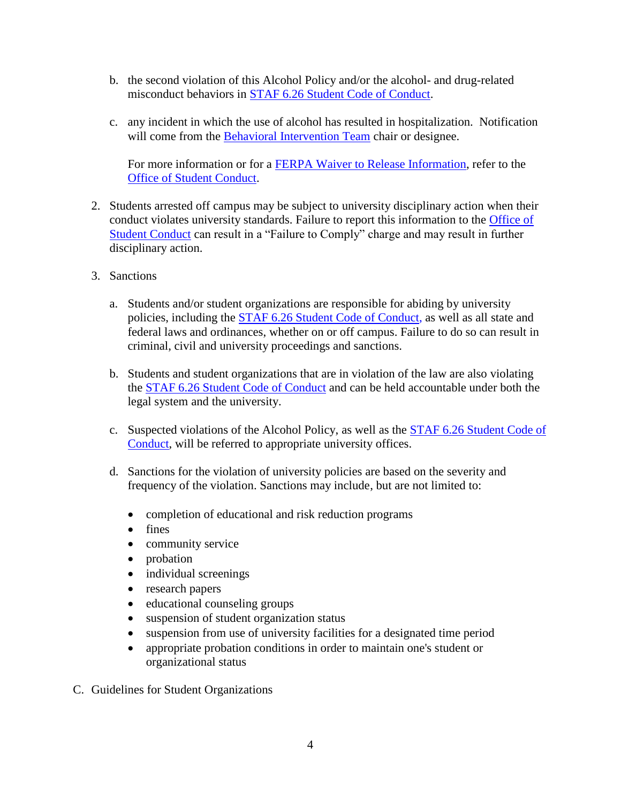- b. the second violation of this Alcohol Policy and/or the alcohol- and drug-related misconduct behaviors in [STAF 6.26 Student Code of Conduct.](http://www.sc.edu/policies/ppm/staf626.pdf)
- c. any incident in which the use of alcohol has resulted in hospitalization. Notification will come from the [Behavioral Intervention Team](https://sc.edu/about/offices_and_divisions/student_affairs/our_initiatives/health_wellness_and_safety/behavior_intervention_team_referral/index.php) chair or designee.

For more information or for a [FERPA Waiver to Release](https://www.sc.edu/about/offices_and_divisions/registrar/transcripts_and_records/privacy/ferpa/index.php) Information, refer to the [Office of Student Conduct.](https://sc.edu/about/offices_and_divisions/student_conduct_and_academic_integrity/index.php)

- 2. Students arrested off campus may be subject to university disciplinary action when their conduct violates university standards. Failure to report this information to the [Office of](http://sc.edu/about/offices_and_divisions/student_conduct_and_academic_integrity/index.php)  [Student Conduct](http://sc.edu/about/offices_and_divisions/student_conduct_and_academic_integrity/index.php) can result in a "Failure to Comply" charge and may result in further disciplinary action.
- 3. Sanctions
	- a. Students and/or student organizations are responsible for abiding by university policies, including the [STAF 6.26 Student Code of Conduct,](http://www.sc.edu/policies/staf626.pdf) as well as all state and federal laws and ordinances, whether on or off campus. Failure to do so can result in criminal, civil and university proceedings and sanctions.
	- b. Students and student organizations that are in violation of the law are also violating the [STAF 6.26 Student Code of Conduct](http://www.sc.edu/policies/staf626.pdf) and can be held accountable under both the legal system and the university.
	- c. Suspected violations of the Alcohol Policy, as well as the [STAF 6.26 Student Code of](http://www.sc.edu/policies/staf626.pdf)  [Conduct,](http://www.sc.edu/policies/staf626.pdf) will be referred to appropriate university offices.
	- d. Sanctions for the violation of university policies are based on the severity and frequency of the violation. Sanctions may include, but are not limited to:
		- completion of educational and risk reduction programs
		- fines
		- community service
		- probation
		- individual screenings
		- research papers
		- educational counseling groups
		- suspension of student organization status
		- suspension from use of university facilities for a designated time period
		- appropriate probation conditions in order to maintain one's student or organizational status
- C. Guidelines for Student Organizations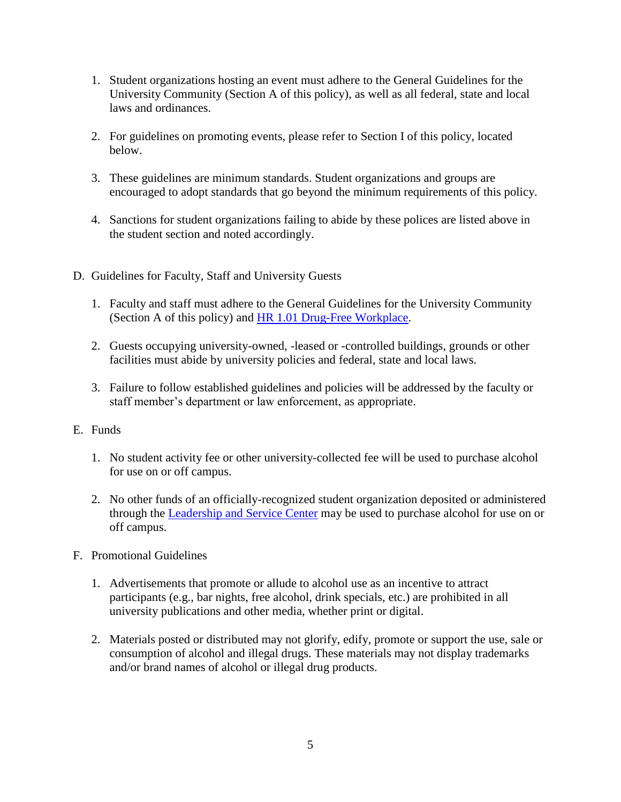- 1. Student organizations hosting an event must adhere to the General Guidelines for the University Community (Section A of this policy), as well as all federal, state and local laws and ordinances.
- 2. For guidelines on promoting events, please refer to Section I of this policy, located below.
- 3. These guidelines are minimum standards. Student organizations and groups are encouraged to adopt standards that go beyond the minimum requirements of this policy.
- 4. Sanctions for student organizations failing to abide by these polices are listed above in the student section and noted accordingly.
- D. Guidelines for Faculty, Staff and University Guests
	- 1. Faculty and staff must adhere to the General Guidelines for the University Community (Section A of this policy) and [HR 1.01 Drug-Free Workplace.](http://www.sc.edu/policies/ppm/hr101.pdf)
	- 2. Guests occupying university-owned, -leased or -controlled buildings, grounds or other facilities must abide by university policies and federal, state and local laws.
	- 3. Failure to follow established guidelines and policies will be addressed by the faculty or staff member's department or law enforcement, as appropriate.
- E. Funds
	- 1. No student activity fee or other university-collected fee will be used to purchase alcohol for use on or off campus.
	- 2. No other funds of an officially-recognized student organization deposited or administered through the [Leadership and Service Center](https://sc.edu/about/offices_and_divisions/leadership_and_service_center/student_organizations/index.php) may be used to purchase alcohol for use on or off campus.
- F. Promotional Guidelines
	- 1. Advertisements that promote or allude to alcohol use as an incentive to attract participants (e.g., bar nights, free alcohol, drink specials, etc.) are prohibited in all university publications and other media, whether print or digital.
	- 2. Materials posted or distributed may not glorify, edify, promote or support the use, sale or consumption of alcohol and illegal drugs. These materials may not display trademarks and/or brand names of alcohol or illegal drug products.